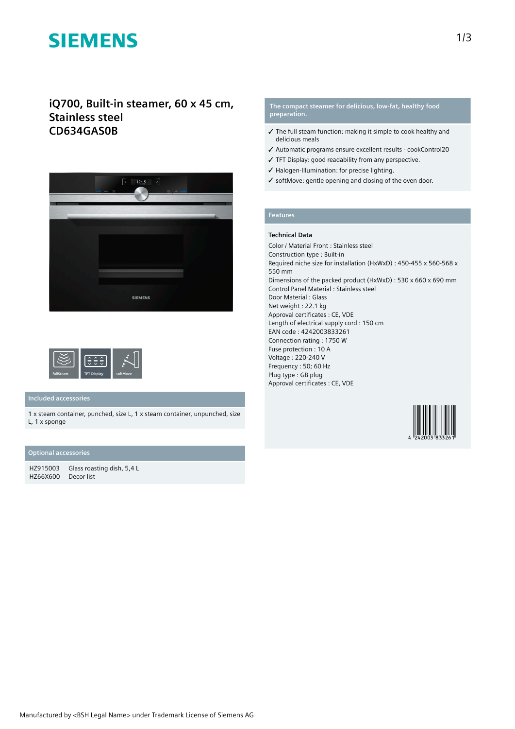# **SIEMENS**

## **iQ700, Built-in steamer, 60 x 45 cm, Stainless steel CD634GAS0B**





## **Included accessories**

1 x steam container, punched, size L, 1 x steam container, unpunched, size L, 1 x sponge

### **Optional accessories**

HZ915003 Glass roasting dish, 5,4 L HZ66X600 Decor list

### **The compact steamer for delicious, low-fat, healthy food preparation.**

- ✓ The full steam function: making it simple to cook healthy and delicious meals
- ✓ Automatic programs ensure excellent results cookControl20
- ✓ TFT Display: good readability from any perspective.
- ✓ Halogen-Illumination: for precise lighting.
- ✓ softMove: gentle opening and closing of the oven door.

## **Features**

#### **Technical Data**

Color / Material Front : Stainless steel Construction type : Built-in Required niche size for installation (HxWxD) : 450-455 x 560-568 x 550 mm Dimensions of the packed product (HxWxD) : 530 x 660 x 690 mm Control Panel Material : Stainless steel Door Material : Glass Net weight : 22.1 kg Approval certificates : CE, VDE Length of electrical supply cord : 150 cm EAN code : 4242003833261 Connection rating : 1750 W Fuse protection : 10 A Voltage : 220-240 V Frequency : 50; 60 Hz Plug type : GB plug Approval certificates : CE, VDE

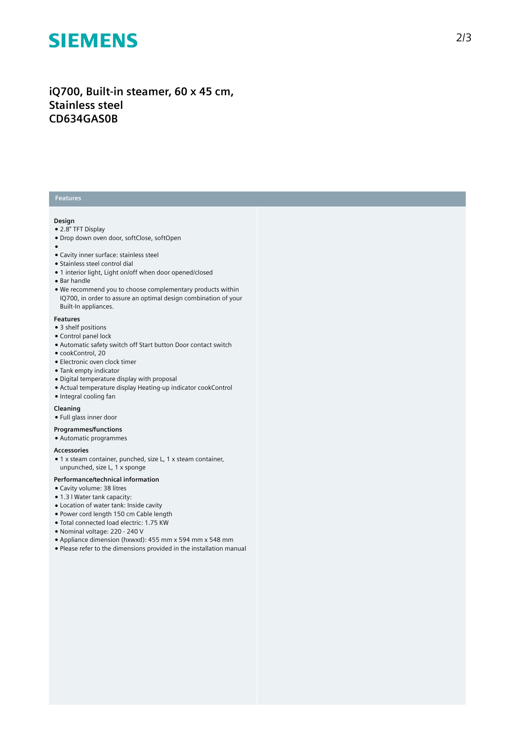# **SIEMENS**

## iQ700, Built-in steamer, 60 x 45 cm, **S t a i n l e s s s t e e l C D 6 3 4 G A S 0 B**

#### **Features**

#### **Design**

- 2.8" TFT Display
- Drop down oven door, softClose, softOpen
- 
- ●<br>● Cavity inner surface: stainless steel
- Stainless steel control dial
- 1 interior light, Light on/off when door opened/closed
- Bar handle
- We recommend you to choose complementary products within IQ700, in order to assure an optimal design combination of your Built-In appliances.

#### **F e a t u r e s**

- 3 shelf positions
- Control panel loc k
- Automatic safety switch off Start button Door contact switch
- cookControl, 20
- $\bullet$  Electronic oven clock timer
- Tank empty indicator
- Digital temperature display with proposal
- Actual temperature display Heating-up indicator cookControl
- Integral cooling fan

#### **Cleaning**

- Full glass inner door
- **Programmes/functions**
- Automatic programmes

#### **A c c e s s o r i e s**

• 1 x steam container, punched, size L, 1 x steam container, unpunched, size L, 1 x sponge

#### Performance/technical information

- Cavity volume: 38 litres
- 1.3 I Water tank capacity:
- Location of water tank: Inside cavity
- Power cord length 150 cm Cable length
- · Total connected load electric: 1.75 KW
- Nominal voltage: 220 240 V
- Appliance dimension (hxwxd): 455 mm x 594 mm x 548 mm
- Please refer to the dimensions provided in the installation manual